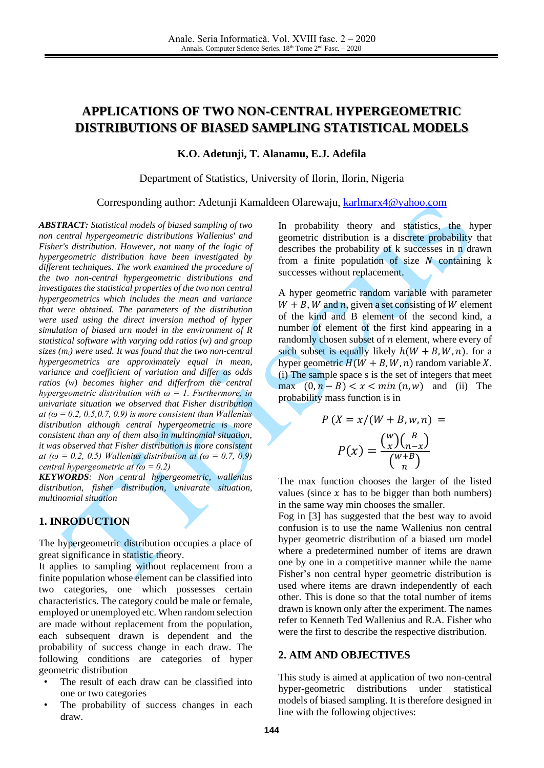# **APPLICATIONS OF TWO NON-CENTRAL HYPERGEOMETRIC DISTRIBUTIONS OF BIASED SAMPLING STATISTICAL MODELS**

**K.O. Adetunji, T. Alanamu, E.J. Adefila**

Department of Statistics, University of Ilorin, Ilorin, Nigeria

Corresponding author: Adetunji Kamaldeen Olarewaju, [karlmarx4@yahoo.com](mailto:karlmarx4@yahoo.com)

*ABSTRACT: Statistical models of biased sampling of two non central hypergeometric distributions Wallenius' and Fisher's distribution. However, not many of the logic of hypergeometric distribution have been investigated by different techniques. The work examined the procedure of the two non-central hypergeometric distributions and investigates the statistical properties of the two non central hypergeometrics which includes the mean and variance that were obtained. The parameters of the distribution were used using the direct inversion method of hyper simulation of biased urn model in the environment of R statistical software with varying odd ratios (w) and group sizes (mi) were used. It was found that the two non-central hypergeometrics are approximately equal in mean, variance and coefficient of variation and differ as odds ratios (w) becomes higher and differfrom the central hypergeometric distribution with*  $\omega = 1$ *. Furthermore, in univariate situation we observed that Fisher distribution at* ( $\omega$  = 0.2, 0.5, 0.7, 0.9) is more consistent than Wallenius *distribution although central hypergeometric is more consistent than any of them also in multinomial situation, it was observed that Fisher distribution is more consistent at (* $\omega = 0.2, 0.5$ *) Wallenius distribution at (* $\omega = 0.7, 0.9$ *) central hypergeometric at (ω = 0.2)* 

*KEYWORDS: Non central hypergeometric, wallenius distribution, fisher distribution, univarate situation, multinomial situation*

## **1. INRODUCTION**

The hypergeometric distribution occupies a place of great significance in statistic theory.

It applies to sampling without replacement from a finite population whose element can be classified into two categories, one which possesses certain characteristics. The category could be male or female, employed or unemployed etc. When random selection are made without replacement from the population, each subsequent drawn is dependent and the probability of success change in each draw. The following conditions are categories of hyper geometric distribution

- The result of each draw can be classified into one or two categories
- The probability of success changes in each draw.

In probability theory and statistics, the hyper geometric distribution is a discrete probability that describes the probability of k successes in n drawn from a finite population of size  $N$  containing  $k$ successes without replacement.

A hyper geometric random variable with parameter  $W + B$ , *W* and *n*, given a set consisting of *W* element of the kind and B element of the second kind, a number of element of the first kind appearing in a randomly chosen subset of  $n$  element, where every of such subset is equally likely  $h(W + B, W, n)$ . for a hyper geometric  $H(W + B, W, n)$  random variable X. (i) The sample space s is the set of integers that meet max  $(0, n - B) < x < min(n, w)$  and (ii) The probability mass function is in

$$
P(X = x/(W + B, w, n) =
$$

$$
P(x) = \frac{\binom{w}{x}\binom{B}{n-x}}{\binom{w+B}{n}}
$$

The max function chooses the larger of the listed values (since  $x$  has to be bigger than both numbers) in the same way min chooses the smaller.

Fog in [\[3\]](#page-7-0) has suggested that the best way to avoid confusion is to use the name Wallenius non central hyper geometric distribution of a biased urn model where a predetermined number of items are drawn one by one in a competitive manner while the name Fisher's non central hyper geometric distribution is used where items are drawn independently of each other. This is done so that the total number of items drawn is known only after the experiment. The names refer to Kenneth Ted Wallenius and R.A. Fisher who were the first to describe the respective distribution.

## **2. AIM AND OBJECTIVES**

This study is aimed at application of two non-central hyper-geometric distributions under statistical models of biased sampling. It is therefore designed in line with the following objectives: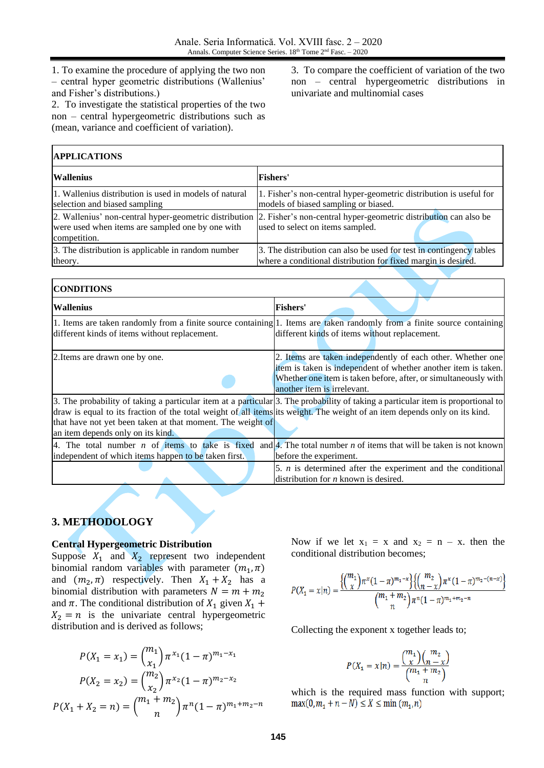1. To examine the procedure of applying the two non – central hyper geometric distributions (Wallenius' and Fisher's distributions.)

2. To investigate the statistical properties of the two non – central hypergeometric distributions such as (mean, variance and coefficient of variation).

3. To compare the coefficient of variation of the two non – central hypergeometric distributions in univariate and multinomial cases

| <b>APPLICATIONS</b>                                                                                                        |                                                                                                                                      |  |  |  |
|----------------------------------------------------------------------------------------------------------------------------|--------------------------------------------------------------------------------------------------------------------------------------|--|--|--|
| <b>Wallenius</b>                                                                                                           | <b>Fishers'</b>                                                                                                                      |  |  |  |
| 1. Wallenius distribution is used in models of natural<br>selection and biased sampling                                    | 1. Fisher's non-central hyper-geometric distribution is useful for<br>models of biased sampling or biased.                           |  |  |  |
| 2. Wallenius' non-central hyper-geometric distribution<br>were used when items are sampled one by one with<br>competition. | 2. Fisher's non-central hyper-geometric distribution can also be<br>used to select on items sampled.                                 |  |  |  |
| 3. The distribution is applicable in random number<br>theory.                                                              | 3. The distribution can also be used for test in contingency tables<br>where a conditional distribution for fixed margin is desired. |  |  |  |

| <b>CONDITIONS</b>                                                                                                                                                                                                             |                                                                                                                                                                                                                                 |
|-------------------------------------------------------------------------------------------------------------------------------------------------------------------------------------------------------------------------------|---------------------------------------------------------------------------------------------------------------------------------------------------------------------------------------------------------------------------------|
| <b>Wallenius</b>                                                                                                                                                                                                              | <b>Fishers'</b>                                                                                                                                                                                                                 |
| different kinds of items without replacement.                                                                                                                                                                                 | 1. Items are taken randomly from a finite source containing 1. Items are taken randomly from a finite source containing<br>different kinds of items without replacement.                                                        |
| 2. Items are drawn one by one.                                                                                                                                                                                                | 2. Items are taken independently of each other. Whether one<br>item is taken is independent of whether another item is taken.<br>Whether one item is taken before, after, or simultaneously with<br>another item is irrelevant. |
| draw is equal to its fraction of the total weight of all items its weight. The weight of an item depends only on its kind.<br>that have not yet been taken at that moment. The weight of<br>an item depends only on its kind. | 3. The probability of taking a particular item at a particular 3. The probability of taking a particular item is proportional to                                                                                                |
| 4. The total number $n$ of items to take is fixed<br>independent of which items happen to be taken first.                                                                                                                     | and 4. The total number $n$ of items that will be taken is not known<br>before the experiment.                                                                                                                                  |
|                                                                                                                                                                                                                               | 5. $n$ is determined after the experiment and the conditional<br>distribution for $n$ known is desired.                                                                                                                         |

## **3. METHODOLOGY**

## **Central Hypergeometric Distribution**

Suppose  $X_1$  and  $X_2$  represent two independent binomial random variables with parameter  $(m_1, \pi)$ and  $(m_2, \pi)$  respectively. Then  $X_1 + X_2$  has a binomial distribution with parameters  $N = m + m<sub>2</sub>$ and  $\pi$ . The conditional distribution of  $X_1$  given  $X_1$  +  $X_2 = n$  is the univariate central hypergeometric distribution and is derived as follows;

$$
P(X_1 = x_1) = {m_1 \choose x_1} \pi^{x_1} (1 - \pi)^{m_1 - x_1}
$$

$$
P(X_2 = x_2) = {m_2 \choose x_2} \pi^{x_2} (1 - \pi)^{m_2 - x_2}
$$

$$
P(X_1 + X_2 = n) = {m_1 + m_2 \choose n} \pi^n (1 - \pi)^{m_1 + m_2 - n}
$$

Now if we let  $x_1 = x$  and  $x_2 = n - x$ . then the conditional distribution becomes;

$$
P(X_1 = x | n) = \frac{{\binom{m_1}{x}} \pi^x (1-\pi)^{m_1-x}}{{\binom{m_1+m_2}{n}} \pi^x (1-\pi)^{m_2-x}}}{\binom{m_1+m_2}{n}} \frac{1}{\pi^n (1-\pi)^{m_1+m_2-n}}
$$

Collecting the exponent x together leads to;

$$
P(X_1 = x | n) = \frac{\binom{m_1}{x} \binom{m_2}{n-x}}{\binom{m_1 + m_2}{n}}
$$

which is the required mass function with support; $\max(0, m_1 + n - N) \le X \le \min(m_1, n)$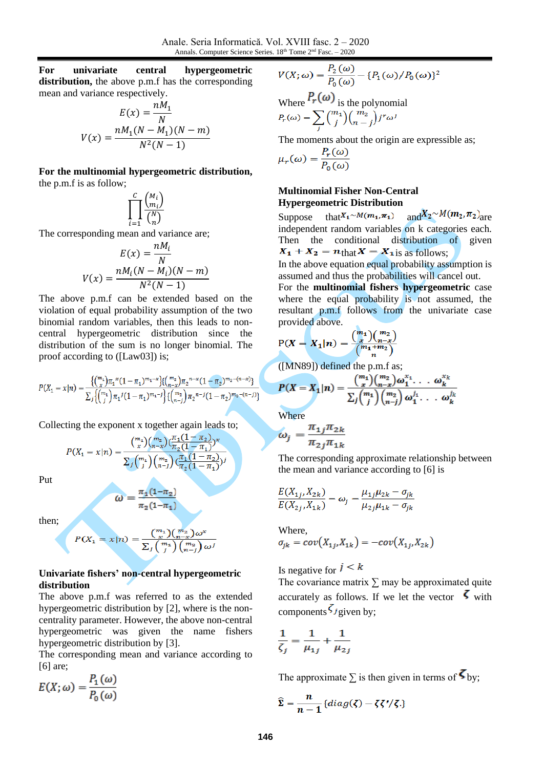**For univariate central hypergeometric distribution,** the above p.m.f has the corresponding mean and variance respectively.

$$
E(x) = \frac{nM_1}{N}
$$

$$
V(x) = \frac{nM_1(N - M_1)(N - m)}{N^2(N - 1)}
$$

**For the multinomial hypergeometric distribution,** the p.m.f is as follow;

$$
\prod_{i=1}^c \frac{\binom{M_i}{m_i}}{\binom{N}{n}}
$$

The corresponding mean and variance are;

$$
E(x) = \frac{nM_i}{N}
$$

$$
V(x) = \frac{nM_i(N - M_i)(N - m)}{N^2(N - 1)}
$$

The above p.m.f can be extended based on the violation of equal probability assumption of the two binomial random variables, then this leads to noncentral hypergeometric distribution since the distribution of the sum is no longer binomial. The proof according to ([Law03]) is;

$$
P(X_1 = x | n) = \frac{{\binom{m_1}{x}} \pi_1^x (1 - \pi_1)^{m_1 - x} {\binom{m_2}{n-x}} \pi_2^{n-x} (1 - \pi_2)^{m_2 - (n-x)}}{\sum_j {\binom{m_1}{j}} \pi_1^j (1 - \pi_1)^{m_1 - j} {\binom{m_2}{n-j}} \pi_2^{n-j} (1 - \pi_2)^{m_2 - (n-j)}}
$$

Collecting the exponent x together again leads to;

$$
P(X_1 = x | n) = \frac{\binom{m_1}{x} \binom{m_2}{n-x} \binom{\overline{\pi}_1 (1 - \overline{\pi}_2)}{\overline{\pi}_2 (1 - \overline{\pi}_1)} x}{\sum_j \binom{m_1}{j} \binom{m_2}{n-j} \binom{\overline{\pi}_1 (1 - \overline{\pi}_2)}{\overline{\pi}_2 (1 - \overline{\pi}_1)} y}
$$

Put

$$
\omega = \frac{\pi_1 (1 - \pi_1)}{\pi_2 (1 - \pi_1)}
$$

then;

$$
P(X_1 = x | n) = \frac{\binom{m_1}{x} \binom{m_2}{n-x} \omega^x}{\sum_j \binom{m_1}{j} \binom{m_2}{n-j} \omega^j}
$$

## **Univariate fishers' non-central hypergeometric distribution**

The above p.m.f was referred to as the extended hypergeometric distribution by [\[2\],](#page-7-1) where is the noncentrality parameter. However, the above non-central hypergeometric was given the name fishers hypergeometric distribution by [\[3\].](#page-7-0)

The corresponding mean and variance according to [\[6\]](#page-7-2) are;

$$
E(X; \omega) = \frac{P_1(\omega)}{P_0(\omega)}
$$

$$
V(X; \omega) = \frac{P_2(\omega)}{P_0(\omega)} - \{P_1(\omega)/P_0(\omega)\}^2
$$

Where  $P_r(\omega)$  is the polynomial  $P_r(\omega) = \sum_j {m_1 \choose j} {m_2 \choose n-j} j^r \omega^j$ 

The moments about the origin are expressible as;

$$
\mu_r(\omega) = \frac{P_r(\omega)}{P_0(\omega)}
$$

## **Multinomial Fisher Non-Central Hypergeometric Distribution**

Suppose that  $X_1 \sim M(m_1, \pi_1)$  and  $X_2 \sim M(m_2, \pi_2)$  are independent random variables on k categories each. Then the conditional distribution of given  $X_1 + X_2 = n_{\text{that}} X = X_{\text{1}}$  as follows;

In the above equation equal probability assumption is assumed and thus the probabilities will cancel out.

For the **multinomial fishers hypergeometric** case where the equal probability is not assumed, the resultant p.m.f follows from the univariate case provided above.

$$
P(X = X_1 | n) = \frac{\binom{m_1}{x}\binom{m_2}{n-x}}{\binom{m_1 + m_2}{n}}
$$

([MN89]) defined the p.m.f as;

$$
P(X = X_1|n) = \frac{\binom{m_1}{x}\binom{m_2}{n-x}\omega_1^{x_1}\dots\omega_k^{x_k}}{\sum_j \binom{m_1}{j}\binom{m_2}{n-j}\omega_1^{j_1}\dots\omega_k^{j_k}}
$$

Where

$$
\omega_j = \frac{\pi_{1j}\pi_{2k}}{\pi_{2j}\pi_{1k}}
$$

The corresponding approximate relationship between the mean and variance according to [\[6\]](#page-7-2) is

$$
\frac{E(X_{1j}, X_{2k})}{E(X_{2j}, X_{1k})} = \omega_j = \frac{\mu_{1j}\mu_{2k} - \sigma_{jk}}{\mu_{2j}\mu_{1k} - \sigma_{jk}}
$$

Where,

$$
\sigma_{jk} = cov\big(X_{1j}, X_{1k}\big) = -cov\big(X_{1j}, X_{2k}\big)
$$

Is negative for  $j \leq k$ 

The covariance matrix  $\Sigma$  may be approximated quite accurately as follows. If we let the vector  $\zeta$  with components  $\zeta_{\text{given}}$  by;

$$
\frac{1}{\zeta_j} = \frac{1}{\mu_{1j}} + \frac{1}{\mu_{2j}}
$$

The approximate  $\Sigma$  is then given in terms of  $\mathbf{S}_{\text{by}}$ ;

$$
\widehat{\Sigma} = \frac{n}{n-1} \{ diag(\zeta) - \zeta \zeta'/\zeta.\}
$$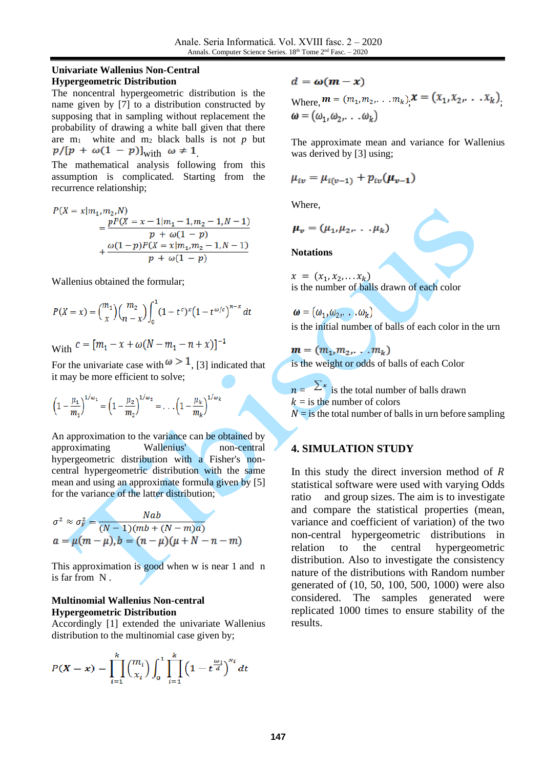## **Univariate Wallenius Non-Central Hypergeometric Distribution**

The noncentral hypergeometric distribution is the name given by [\[7\]](#page-7-3) to a distribution constructed by supposing that in sampling without replacement the probability of drawing a white ball given that there are  $m_1$  white and  $m_2$  black balls is not  $p$  but  $p/[p + \omega(1 - p)]_{\text{with}} \omega \neq 1$ 

The mathematical analysis following from this assumption is complicated. Starting from the recurrence relationship;

$$
P(X = x|m_1, m_2, N)
$$
  
= 
$$
\frac{pP(X = x - 1|m_1 - 1, m_2 - 1, N - 1)}{p + \omega(1 - p)}
$$
  
+ 
$$
\frac{\omega(1-p)P(X = x|m_1, m_2 - 1, N - 1)}{p + \omega(1 - p)}
$$

Wallenius obtained the formular;

$$
P(X = x) = {m_1 \choose x} {m_2 \choose n-x} \int_0^1 (1-t^c)^x (1-t^{\omega/c})^{n-x} dt
$$

With  $c = [m_1 - x + \omega(N - m_1 - n + x)]^{-1}$ 

For the univariate case with  $\omega > 1$ , [\[3\]](#page-7-0) indicated that it may be more efficient to solve;

$$
\left(1 - \frac{\mu_1}{m_1}\right)^{1/\omega_1} = \left(1 - \frac{\mu_2}{m_2}\right)^{1/\omega_2} = \dots \left(1 - \frac{\mu_k}{m_k}\right)^{1/\omega_k}
$$

An approximation to the variance can be obtained by approximating Wallenius' non-central hypergeometric distribution with a Fisher's noncentral hypergeometric distribution with the same mean and using an approximate formula given by [\[5\]](#page-7-4) for the variance of the latter distribution;

$$
\sigma^2 \approx \sigma_F^2 = \frac{Nab}{(N-1)(mb + (N-m)a)}
$$
  

$$
a = \mu(m-\mu), b = (n-\mu)(\mu+N-n-m)
$$

This approximation is good when w is near 1 and n is far from N .

## **Multinomial Wallenius Non-central Hypergeometric Distribution**

Accordingly [\[1\]](#page-7-5) extended the univariate Wallenius distribution to the multinomial case given by;

$$
P(X = x) = \prod_{i=1}^{k} {m_i \choose x_i} \int_0^1 \prod_{i=1}^{k} \left(1 - t^{\frac{\omega_i}{d}}\right)^{x_i} dt
$$

$$
d = \omega(m - x)
$$

Where, 
$$
\mathbf{m} = (m_1, m_2, \dots, m_k), \mathbf{x} = (x_1, x_2, \dots, x_k),
$$
  
 $\boldsymbol{\omega} = (\omega_1, \omega_2, \dots, \omega_k)$ 

The approximate mean and variance for Wallenius was derived by [\[3\]](#page-7-0) using;

$$
\mu_{iv} = \mu_{i(v-1)} + p_{iv}(\mu_{v-1})
$$

Where,

$$
\boldsymbol{\mu}_{v}=(\mu_{1},\mu_{2},\ldots,\mu_{k})
$$

**Notations**

 $x = (x_1, x_2, \ldots x_k)$ is the number of balls drawn of each color

 $\boldsymbol{\omega} = (\omega_1, \omega_2, \dots, \omega_k)$ is the initial number of balls of each color in the urn

 $m = (m_1, m_2, \ldots, m_k)$ 

is the weight or odds of balls of each Color

 $n = \sum_{n=1}^{\infty}$  is the total number of balls drawn  $k =$  is the number of colors

 $N =$  is the total number of balls in urn before sampling

# **4. SIMULATION STUDY**

In this study the direct inversion method of  $$ statistical software were used with varying Odds ratio and group sizes. The aim is to investigate and compare the statistical properties (mean, variance and coefficient of variation) of the two non-central hypergeometric distributions in relation to the central hypergeometric distribution. Also to investigate the consistency nature of the distributions with Random number generated of (10, 50, 100, 500, 1000) were also considered. The samples generated were replicated 1000 times to ensure stability of the results.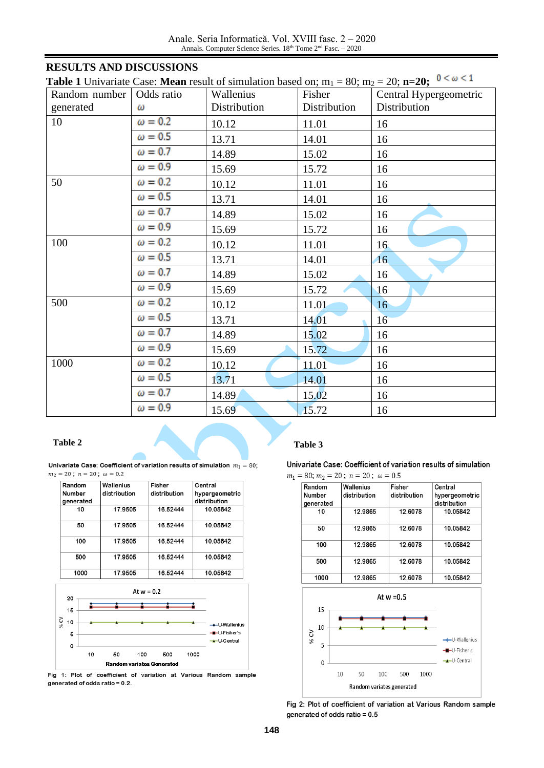Anale. Seria Informatică. Vol. XVIII fasc. 2 – 2020 Annals. Computer Science Series. 18th Tome 2<sup>nd</sup> Fasc. - 2020

# **RESULTS AND DISCUSSIONS**

| <b>Table 1</b> Univariate Case: <b>Mean</b> result of simulation based on; $m_1 = 80$ ; $m_2 = 20$ ; $n=20$ ; $0 < \omega < 1$ | 10000 |  |
|--------------------------------------------------------------------------------------------------------------------------------|-------|--|
|                                                                                                                                |       |  |

| Random number | Odds ratio     | Wallenius    | Fisher       | Central Hypergeometric |
|---------------|----------------|--------------|--------------|------------------------|
| generated     | ω              | Distribution | Distribution | Distribution           |
| 10            | $\omega = 0.2$ | 10.12        | 11.01        | 16                     |
|               | $\omega = 0.5$ | 13.71        | 14.01        | 16                     |
|               | $\omega = 0.7$ | 14.89        | 15.02        | 16                     |
|               | $\omega = 0.9$ | 15.69        | 15.72        | 16                     |
| 50            | $\omega = 0.2$ | 10.12        | 11.01        | 16                     |
|               | $\omega = 0.5$ | 13.71        | 14.01        | 16                     |
|               | $\omega = 0.7$ | 14.89        | 15.02        | 16                     |
|               | $\omega = 0.9$ | 15.69        | 15.72        | 16                     |
| 100           | $\omega = 0.2$ | 10.12        | 11.01        | 16 <sub>1</sub>        |
|               | $\omega = 0.5$ | 13.71        | 14.01        | 16                     |
|               | $\omega = 0.7$ | 14.89        | 15.02        | 16                     |
|               | $\omega = 0.9$ | 15.69        | 15.72        | 16                     |
| 500           | $\omega = 0.2$ | 10.12        | 11.01        | 16                     |
|               | $\omega = 0.5$ | 13.71        | 14.01        | 16                     |
|               | $\omega = 0.7$ | 14.89        | 15.02        | 16                     |
|               | $\omega = 0.9$ | 15.69        | 15.72        | 16                     |
| 1000          | $\omega = 0.2$ | 10.12        | 11.01        | 16                     |
|               | $\omega = 0.5$ | 13.71        | 14.01        | 16                     |
|               | $\omega = 0.7$ | 14.89        | 15.02        | 16                     |
|               | $\omega = 0.9$ | 15.69        | 15.72        | 16                     |

Univariate Case: Coefficient of variation results of simulation  $m_1 = 80$ ;  $m_2 = 20$ ;  $n = 20$ ;  $\omega = 0.2$ 

| Random        | Wallenius    | Fisher       | Central        |
|---------------|--------------|--------------|----------------|
| <b>Number</b> | distribution | distribution | hypergeometric |
| generated     |              |              | distribution   |
| 10            | 17.9505      | 16.52444     | 10.05842       |
| 50            | 17.9505      | 16.52444     | 10.05842       |
| 100           | 17.9505      | 16.52444     | 10.05842       |
| 500           | 17.9505      | 16.52444     | 10.05842       |
| 1000          | 17.9505      | 16.52444     | 10.05842       |



Fig 1: Plot of coefficient of variation at Various Random sample generated of odds ratio = 0.2.

## **Table 2 Table 3**

Univariate Case: Coefficient of variation results of simulation



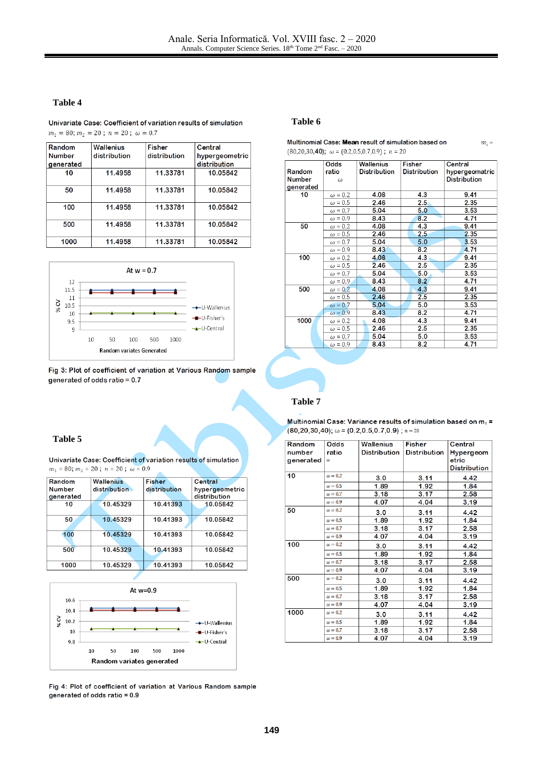#### **Table 4**

Univariate Case: Coefficient of variation results of simulation  $m_1 = 80; m_2 = 20; n = 20; \omega = 0.7$ 

| Random    | Wallenius    | <b>Fisher</b> | Central        |
|-----------|--------------|---------------|----------------|
| Number    | distribution | distribution  | hypergeometric |
| generated |              |               | distribution   |
| 10        | 11.4958      | 11.33781      | 10.05842       |
| 50        | 11.4958      | 11.33781      | 10.05842       |
| 100       | 11.4958      | 11.33781      | 10.05842       |
| 500       | 11.4958      | 11.33781      | 10.05842       |
| 1000      | 11.4958      | 11.33781      | 10.05842       |
|           |              |               |                |



Fig 3: Plot of coefficient of variation at Various Random sample generated of odds ratio = 0.7

#### **Table 6**

| Multinomial Case: Mean result of simulation based on    |
|---------------------------------------------------------|
| $(80,20,30,40);$ $\omega = (0.2,0.5,0.7,0.9);$ $n = 20$ |

 $m_i =$ 

|           | Odds           | Wallenius    | Fisher       | Central             |
|-----------|----------------|--------------|--------------|---------------------|
| Random    | ratio          | Distribution | Distribution | hypergeomatric      |
| Number    | ω              |              |              | <b>Distribution</b> |
| generated |                |              |              |                     |
| 10        | $\omega = 0.2$ | 4.08         | 4.3          | 9.41                |
|           | $\omega = 0.5$ | 2.46         | 2.5.         | 2.35                |
|           | $\omega = 0.7$ | 5.04         | 5.0          | 3.53                |
|           | $\omega = 0.9$ | 8.43         | 8.2          | 4.71                |
| 50        | $\omega = 0.2$ | 4.08         | 4.3          | 9.41                |
|           | $\omega = 0.5$ | 2.46         | 2.5          | 2.35                |
|           | $\omega = 0.7$ | 5.04         | 5.0          | 3.53                |
|           | $\omega = 0.9$ | 8.43         | 8.2          | 4.71                |
| 100       | $\omega = 0.2$ | 4.08         | 4.3          | 9.41                |
|           | $\omega = 0.5$ | 2.46         | 2.5          | 2.35                |
|           | $\omega = 0.7$ | 5.04         | 5.0          | 3.53                |
|           | $\omega = 0.9$ | 8.43         | 8.2          | 4.71                |
| 500       | $\omega = 0.2$ | 4.08         | 4.3          | 9.41                |
|           | $\omega = 0.5$ | 2.46         | 2.5          | 2.35                |
|           | $\omega = 0.7$ | 5.04         | 5.0          | 3.53                |
|           | $\omega = 0.9$ | 8.43         | 8.2          | 4.71                |
| 1000      | $\omega = 0.2$ | 4.08         | 4.3          | 9.41                |
|           | $\omega = 0.5$ | 2.46         | $2.5\,$      | 2.35                |
|           | $\omega = 0.7$ | 5.04         | 5.0          | 3.53                |
|           | $\omega = 0.9$ | 8.43         | 8.2          | 4.71                |

#### **Table 7**

#### **Table 5**

Univariate Case: Coefficient of variation results of simulation  $m_1 = 80$ ;  $m_2 = 20$ ;  $n = 20$ ;  $\omega = 0.9$ 

| Random    | <b>Wallenius</b> | <b>Fisher</b> | Central        |
|-----------|------------------|---------------|----------------|
| Number    | distribution     | distribution  | hypergeometric |
| generated |                  |               | distribution   |
| 10        | 10.45329         | 10.41393      | 10.05842       |
|           |                  |               |                |
| 50        | 10.45329         | 10.41393      | 10.05842       |
|           |                  |               |                |
| 100       | 10.45329         | 10.41393      | 10.05842       |
|           |                  |               |                |
| 500       | 10.45329         | 10.41393      | 10.05842       |
|           |                  |               |                |
| 1000      | 10.45329         | 10.41393      | 10.05842       |
|           |                  |               |                |



Fig 4: Plot of coefficient of variation at Various Random sample generated of odds ratio = 0.9

Multinomial Case: Variance results of simulation based on  $m_1$  =  $(80, 20, 30, 40)$ ;  $\omega = (0.2, 0.5, 0.7, 0.9)$ ;  $n = 20$ 

| Random    | Odds           | Wallenius    | Fisher       | Central      |
|-----------|----------------|--------------|--------------|--------------|
| number    | ratio          | Distribution | Distribution | Hypergeom    |
| generated | ω              |              |              | etric        |
|           |                |              |              | Distribution |
| 10        | $\omega = 0.2$ | 3.0          | 3.11         | 4.42         |
|           | $\omega = 0.5$ | 1.89         | 1.92         | 1.84         |
|           | $\omega = 0.7$ | 3.18         | 3.17         | 2.58         |
|           | $\omega = 0.9$ | 4.07         | 4.04         | 3.19         |
| 50        | $\omega = 0.2$ | 3.0          | 3.11         | 4.42         |
|           | $\omega = 0.5$ | 1.89         | 1.92         | 1.84         |
|           | $\omega = 0.7$ | 3.18         | 3.17         | 2.58         |
|           | $\omega = 0.9$ | 4.07         | 4.04         | 3.19         |
| 100       | $\omega = 0.2$ | 3.0          | 3.11         | 4.42         |
|           | $\omega = 0.5$ | 1.89         | 1.92         | 1.84         |
|           | $\omega = 0.7$ | 3.18         | 3.17         | 2.58         |
|           | $\omega = 0.9$ | 4.07         | 4.04         | 3.19         |
| 500       | $\omega = 0.2$ | 3.0          | 3.11         | 4.42         |
|           | $\omega = 0.5$ | 1.89         | 1.92         | 1.84         |
|           | $\omega = 0.7$ | 3.18         | 3.17         | 2.58         |
|           | $\omega = 0.9$ | 4.07         | 4.04         | 3.19         |
| 1000      | $\omega = 0.2$ | 3.0          | 3.11         | 4.42         |
|           | $\omega = 0.5$ | 1.89         | 1.92         | 1.84         |
|           | $\omega = 0.7$ | 3.18         | 3.17         | 2.58         |
|           | $\omega = 0.9$ | 4.07         | 4.04         | 3.19         |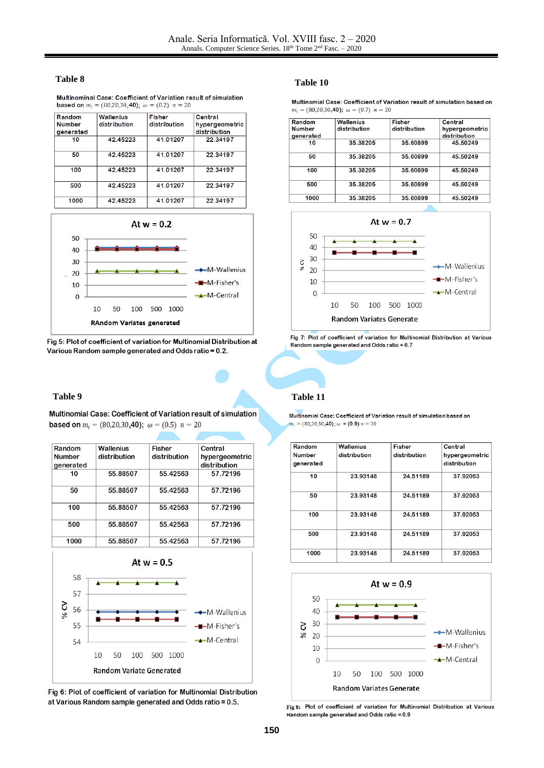#### **Table 8**

| Multinominal Case: Coefficient of Variation result of simulation  |
|-------------------------------------------------------------------|
| <b>based on</b> $m_i = (80,20,30,40)$ ; $\omega = (0.2)$ $n = 20$ |

| Random        | Wallenius    | Fisher       | Central        |
|---------------|--------------|--------------|----------------|
| <b>Number</b> | distribution | distribution | hypergeometric |
| generated     |              |              | distribution   |
| 10            | 42.45223     | 41.01207     | 22.34197       |
| 50            | 42.45223     | 41.01207     | 22.34197       |
| 100           | 42.45223     | 41.01207     | 22.34197       |
| 500           | 42.45223     | 41.01207     | 22.34197       |
| 1000          | 42.45223     | 41.01207     | 22.34197       |



Fig 5: Plot of coefficient of variation for Multinomial Distribution at Various Random sample generated and Odds ratio = 0.2.

Multinomial Case: Coefficient of Variation result of simulation **based on**  $m_i = (80, 20, 30, 40)$ ;  $\omega = (0.5)$   $n = 20$ 

| Random                     | Wallenius    | <b>Fisher</b> | Central                        |
|----------------------------|--------------|---------------|--------------------------------|
| <b>Number</b><br>generated | distribution | distribution  | hypergeometric<br>distribution |
| 10                         | 55.88507     | 55.42563      | 57.72196                       |
| 50                         | 55.88507     | 55.42563      | 57.72196                       |
| 100                        | 55.88507     | 55.42563      | 57.72196                       |
| 500                        | 55.88507     | 55.42563      | 57.72196                       |
| 1000                       | 55.88507     | 55.42563      | 57.72196                       |



Fig 6: Plot of coefficient of variation for Multinomial Distribution at Various Random sample generated and Odds ratio = 0.5.

### **Table 10**

Multinomial Case: Coefficient of Variation result of simulation based on  $m_i = (80, 20, 30, 40); \omega = (0.7) n = 20$ 

| Random              | Wallenius    | Fisher       | Central                        |
|---------------------|--------------|--------------|--------------------------------|
| Number<br>generated | distribution | distribution | hypergeometric<br>distribution |
| 10                  | 35.38205     | 35.60899     | 45.50249                       |
| 50                  | 35.38205     | 35.60899     | 45.50249                       |
| 100                 | 35.38205     | 35.60899     | 45.50249                       |
| 500                 | 35.38205     | 35.60899     | 45.50249                       |
| 1000                | 35.38205     | 35.60899     | 45.50249                       |



Fig 7: Plot of coefficient of variation for Multinomial Distribution at Various Random sample generated and Odds ratio = 0.7

### **Table 9 Table 11**

Multinomial Case: Coefficient of Variation result of simulation based on  $m_i = (80, 20, 30, 40);$   $\omega = (0.9) n = 20$ 

| Random              | Wallenius    | Fisher       | Central                        |
|---------------------|--------------|--------------|--------------------------------|
| Number<br>generated | distribution | distribution | hypergeometric<br>distribution |
| 10                  | 23.93148     | 24.51189     | 37.92053                       |
| 50                  | 23.93148     | 24.51189     | 37.92053                       |
| 100                 | 23.93148     | 24.51189     | 37.92053                       |
| 500                 | 23.93148     | 24.51189     | 37.92053                       |
| 1000                | 23.93148     | 24.51189     | 37.92053                       |



Fig 8: Plot of coefficient of variation for Multinomial Distribution at Various Kandom sample generated and Odds ratio =  $0.9$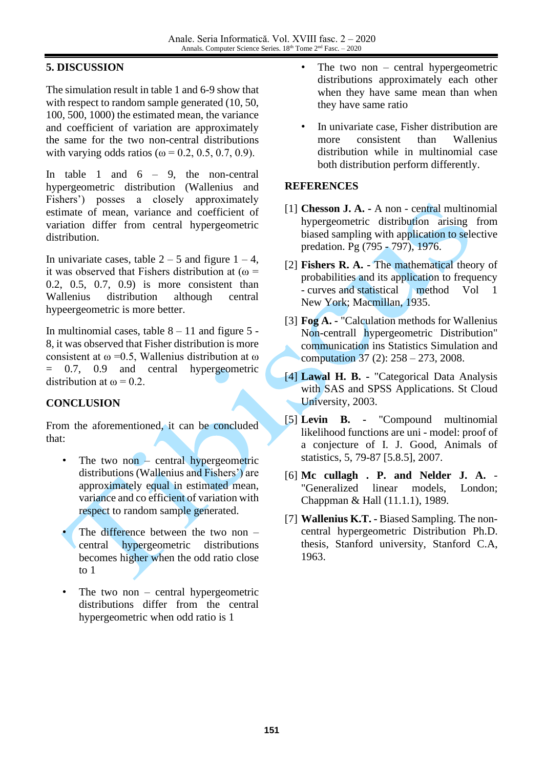# **5. DISCUSSION**

The simulation result in table 1 and 6-9 show that with respect to random sample generated (10, 50, 100, 500, 1000) the estimated mean, the variance and coefficient of variation are approximately the same for the two non-central distributions with varying odds ratios ( $\omega = 0.2, 0.5, 0.7, 0.9$ ).

In table 1 and  $6 - 9$ , the non-central hypergeometric distribution (Wallenius and Fishers') posses a closely approximately estimate of mean, variance and coefficient of variation differ from central hypergeometric distribution.

In univariate cases, table  $2 - 5$  and figure  $1 - 4$ , it was observed that Fishers distribution at ( $\omega$  = 0.2, 0.5, 0.7, 0.9) is more consistent than Wallenius distribution although central hypeergeometric is more better.

In multinomial cases, table  $8 - 11$  and figure 5 -8, it was observed that Fisher distribution is more consistent at  $\omega$  =0.5, Wallenius distribution at  $\omega$ = 0.7, 0.9 and central hypergeometric distribution at  $\omega = 0.2$ .

# **CONCLUSION**

From the aforementioned, it can be concluded that:

- The two non  $-$  central hypergeometric distributions (Wallenius and Fishers') are approximately equal in estimated mean, variance and co efficient of variation with respect to random sample generated.
- The difference between the two non  $$ central hypergeometric distributions becomes higher when the odd ratio close to 1
- The two non  $-$  central hypergeometric distributions differ from the central hypergeometric when odd ratio is 1
- The two non central hypergeometric distributions approximately each other when they have same mean than when they have same ratio
- In univariate case, Fisher distribution are more consistent than Wallenius distribution while in multinomial case both distribution perform differently.

## **REFERENCES**

- <span id="page-7-5"></span>[1] **Chesson J. A. -** A non - central multinomial hypergeometric distribution arising from biased sampling with application to selective predation. Pg (795 - 797), 1976.
- <span id="page-7-1"></span>[2] **Fishers R. A. -** The mathematical theory of probabilities and its application to frequency - curves and statistical method Vol 1 New York; Macmillan, 1935.
- <span id="page-7-0"></span>[3] **Fog A. -** "Calculation methods for Wallenius Non-centrall hypergeometric Distribution" communication ins Statistics Simulation and computation 37 (2): 258 – 273, 2008.
- [4] **Lawal H. B. -** "Categorical Data Analysis with SAS and SPSS Applications. St Cloud University, 2003.
- <span id="page-7-4"></span>[5] **Levin B. -** "Compound multinomial likelihood functions are uni - model: proof of a conjecture of I. J. Good, Animals of statistics, 5, 79-87 [5.8.5], 2007.
- <span id="page-7-2"></span>[6] **Mc cullagh . P. and Nelder J. A.** - "Generalized linear models, London; Chappman & Hall (11.1.1), 1989.
- <span id="page-7-3"></span>[7] **Wallenius K.T. -** Biased Sampling. The noncentral hypergeometric Distribution Ph.D. thesis, Stanford university, Stanford C.A, 1963.